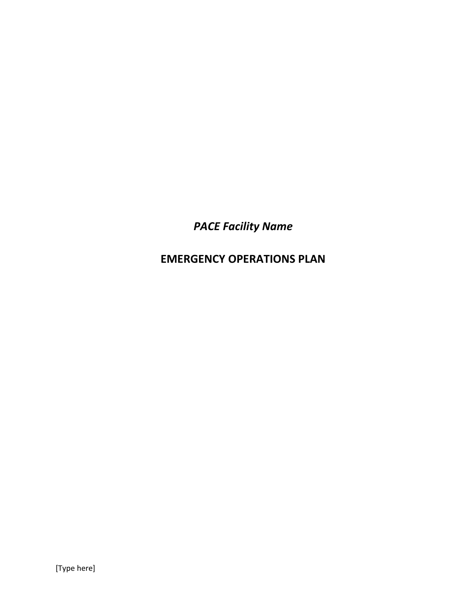*PACE Facility Name*

**EMERGENCY OPERATIONS PLAN**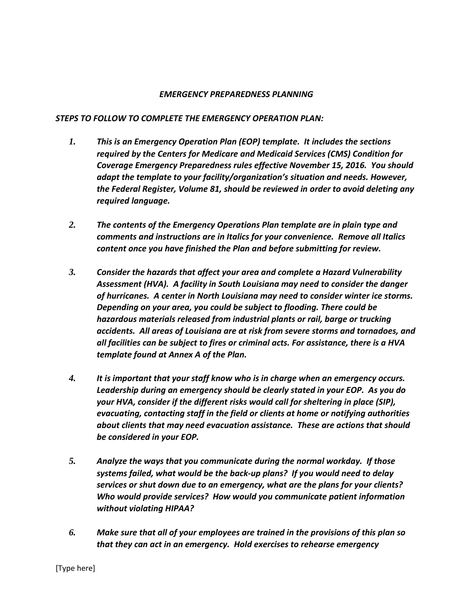### *EMERGENCY PREPAREDNESS PLANNING*

### *STEPS TO FOLLOW TO COMPLETE THE EMERGENCY OPERATION PLAN:*

- *1. This is an Emergency Operation Plan (EOP) template. It includes the sections required by the Centers for Medicare and Medicaid Services (CMS) Condition for Coverage Emergency Preparedness rules effective November 15, 2016. You should adapt the template to your facility/organization's situation and needs. However, the Federal Register, Volume 81, should be reviewed in order to avoid deleting any required language.*
- *2. The contents of the Emergency Operations Plan template are in plain type and comments and instructions are in Italics for your convenience. Remove all Italics content once you have finished the Plan and before submitting for review.*
- *3. Consider the hazards that affect your area and complete a Hazard Vulnerability Assessment (HVA). A facility in South Louisiana may need to consider the danger of hurricanes. A center in North Louisiana may need to consider winter ice storms. Depending on your area, you could be subject to flooding. There could be hazardous materials released from industrial plants or rail, barge or trucking accidents. All areas of Louisiana are at risk from severe storms and tornadoes, and all facilities can be subject to fires or criminal acts. For assistance, there is a HVA template found at Annex A of the Plan.*
- *4. It is important that your staff know who is in charge when an emergency occurs. Leadership during an emergency should be clearly stated in your EOP. As you do your HVA, consider if the different risks would call for sheltering in place (SIP), evacuating, contacting staff in the field or clients at home or notifying authorities about clients that may need evacuation assistance. These are actions that should be considered in your EOP.*
- *5. Analyze the ways that you communicate during the normal workday. If those systems failed, what would be the back-up plans? If you would need to delay services or shut down due to an emergency, what are the plans for your clients? Who would provide services? How would you communicate patient information without violating HIPAA?*
- *6. Make sure that all of your employees are trained in the provisions of this plan so that they can act in an emergency. Hold exercises to rehearse emergency*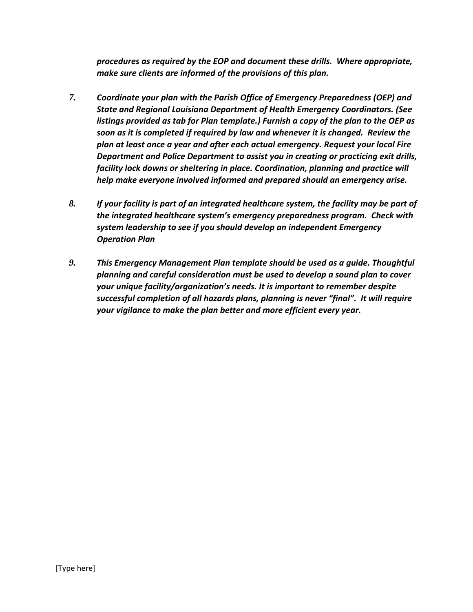*procedures as required by the EOP and document these drills. Where appropriate, make sure clients are informed of the provisions of this plan.* 

- *7. Coordinate your plan with the Parish Office of Emergency Preparedness (OEP) and State and Regional Louisiana Department of Health Emergency Coordinators. (See listings provided as tab for Plan template.) Furnish a copy of the plan to the OEP as soon as it is completed if required by law and whenever it is changed. Review the plan at least once a year and after each actual emergency. Request your local Fire Department and Police Department to assist you in creating or practicing exit drills, facility lock downs or sheltering in place. Coordination, planning and practice will help make everyone involved informed and prepared should an emergency arise.*
- *8. If your facility is part of an integrated healthcare system, the facility may be part of the integrated healthcare system's emergency preparedness program. Check with system leadership to see if you should develop an independent Emergency Operation Plan*
- *9. This Emergency Management Plan template should be used as a guide. Thoughtful planning and careful consideration must be used to develop a sound plan to cover your unique facility/organization's needs. It is important to remember despite successful completion of all hazards plans, planning is never "final". It will require your vigilance to make the plan better and more efficient every year.*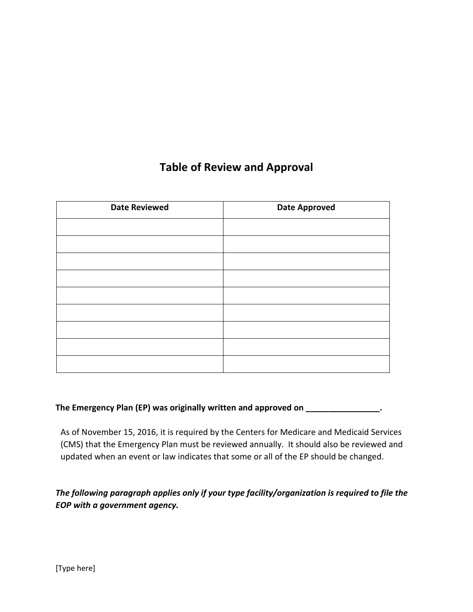# **Table of Review and Approval**

| <b>Date Reviewed</b> | <b>Date Approved</b> |  |  |
|----------------------|----------------------|--|--|
|                      |                      |  |  |
|                      |                      |  |  |
|                      |                      |  |  |
|                      |                      |  |  |
|                      |                      |  |  |
|                      |                      |  |  |
|                      |                      |  |  |
|                      |                      |  |  |
|                      |                      |  |  |

# **The Emergency Plan (EP) was originally written and approved on \_\_\_\_\_\_\_\_\_\_\_\_\_\_\_\_.**

As of November 15, 2016, it is required by the Centers for Medicare and Medicaid Services (CMS) that the Emergency Plan must be reviewed annually. It should also be reviewed and updated when an event or law indicates that some or all of the EP should be changed.

*The following paragraph applies only if your type facility/organization is required to file the EOP with a government agency.*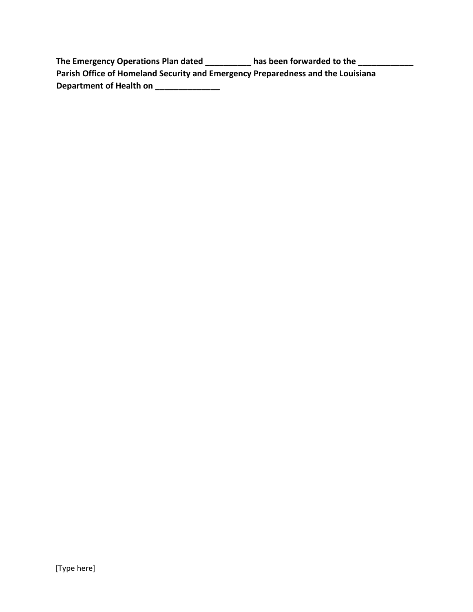| The Emergency Operations Plan dated                                             | has been forwarded to the |
|---------------------------------------------------------------------------------|---------------------------|
| Parish Office of Homeland Security and Emergency Preparedness and the Louisiana |                           |
| Department of Health on                                                         |                           |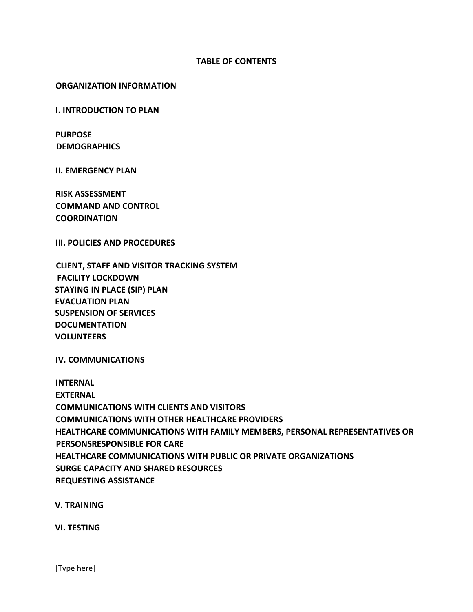### **TABLE OF CONTENTS**

### **ORGANIZATION INFORMATION**

**I. INTRODUCTION TO PLAN**

**PURPOSE DEMOGRAPHICS** 

**II. EMERGENCY PLAN**

**RISK ASSESSMENT COMMAND AND CONTROL COORDINATION**

**III. POLICIES AND PROCEDURES**

**CLIENT, STAFF AND VISITOR TRACKING SYSTEM FACILITY LOCKDOWN STAYING IN PLACE (SIP) PLAN EVACUATION PLAN SUSPENSION OF SERVICES DOCUMENTATION VOLUNTEERS**

**IV. COMMUNICATIONS**

**INTERNAL EXTERNAL COMMUNICATIONS WITH CLIENTS AND VISITORS COMMUNICATIONS WITH OTHER HEALTHCARE PROVIDERS HEALTHCARE COMMUNICATIONS WITH FAMILY MEMBERS, PERSONAL REPRESENTATIVES OR PERSONSRESPONSIBLE FOR CARE HEALTHCARE COMMUNICATIONS WITH PUBLIC OR PRIVATE ORGANIZATIONS SURGE CAPACITY AND SHARED RESOURCES REQUESTING ASSISTANCE**

**V. TRAINING** 

**VI. TESTING**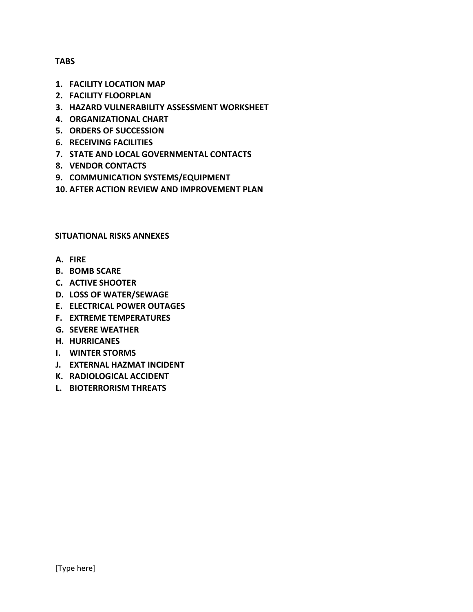### **TABS**

- **1. FACILITY LOCATION MAP**
- **2. FACILITY FLOORPLAN**
- **3. HAZARD VULNERABILITY ASSESSMENT WORKSHEET**
- **4. ORGANIZATIONAL CHART**
- **5. ORDERS OF SUCCESSION**
- **6. RECEIVING FACILITIES**
- **7. STATE AND LOCAL GOVERNMENTAL CONTACTS**
- **8. VENDOR CONTACTS**
- **9. COMMUNICATION SYSTEMS/EQUIPMENT**
- **10. AFTER ACTION REVIEW AND IMPROVEMENT PLAN**

### **SITUATIONAL RISKS ANNEXES**

- **A. FIRE**
- **B. BOMB SCARE**
- **C. ACTIVE SHOOTER**
- **D. LOSS OF WATER/SEWAGE**
- **E. ELECTRICAL POWER OUTAGES**
- **F. EXTREME TEMPERATURES**
- **G. SEVERE WEATHER**
- **H. HURRICANES**
- **I. WINTER STORMS**
- **J. EXTERNAL HAZMAT INCIDENT**
- **K. RADIOLOGICAL ACCIDENT**
- **L. BIOTERRORISM THREATS**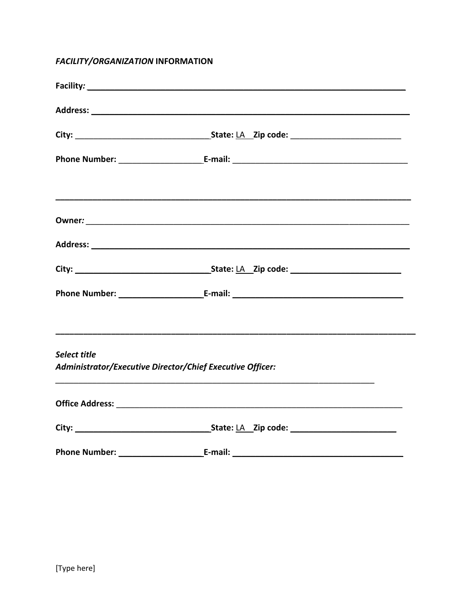# **FACILITY/ORGANIZATION INFORMATION**

| Select title | Administrator/Executive Director/Chief Executive Officer: |  |
|--------------|-----------------------------------------------------------|--|
|              |                                                           |  |
|              |                                                           |  |
|              |                                                           |  |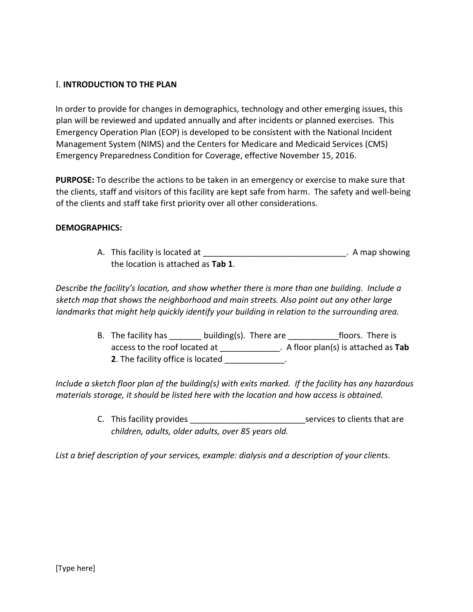# I. **INTRODUCTION TO THE PLAN**

In order to provide for changes in demographics, technology and other emerging issues, this plan will be reviewed and updated annually and after incidents or planned exercises. This Emergency Operation Plan (EOP) is developed to be consistent with the National Incident Management System (NIMS) and the Centers for Medicare and Medicaid Services (CMS) Emergency Preparedness Condition for Coverage, effective November 15, 2016.

**PURPOSE:** To describe the actions to be taken in an emergency or exercise to make sure that the clients, staff and visitors of this facility are kept safe from harm. The safety and well-being of the clients and staff take first priority over all other considerations.

# **DEMOGRAPHICS:**

A. This facility is located at \_\_\_\_\_\_\_\_\_\_\_\_\_\_\_\_\_\_\_\_\_\_\_\_\_\_\_\_\_\_\_\_\_\_. A map showing the location is attached as **Tab 1**.

*Describe the facility's location, and show whether there is more than one building. Include a sketch map that shows the neighborhood and main streets. Also point out any other large landmarks that might help quickly identify your building in relation to the surrounding area.* 

> B. The facility has building(s). There are floors. There is access to the roof located at \_\_\_\_\_\_\_\_\_\_\_\_\_. A floor plan(s) is attached as **Tab 2**. The facility office is located \_\_\_\_\_\_\_\_\_\_\_\_\_.

*Include a sketch floor plan of the building(s) with exits marked. If the facility has any hazardous materials storage, it should be listed here with the location and how access is obtained.* 

> C. This facility provides the services to clients that are *children, adults, older adults, over 85 years old.*

*List a brief description of your services, example: dialysis and a description of your clients.*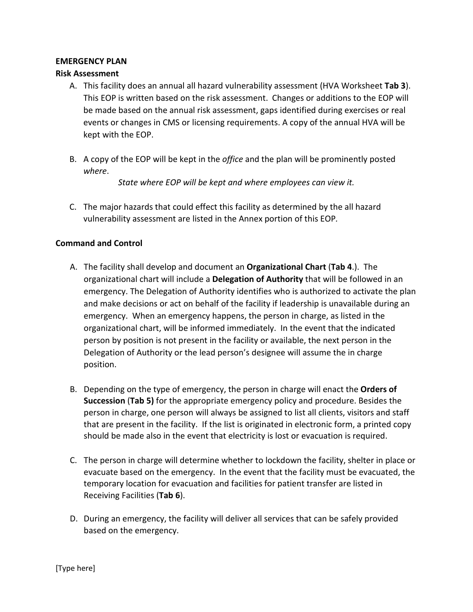### **EMERGENCY PLAN**

## **Risk Assessment**

- A. This facility does an annual all hazard vulnerability assessment (HVA Worksheet **Tab 3**). This EOP is written based on the risk assessment. Changes or additions to the EOP will be made based on the annual risk assessment, gaps identified during exercises or real events or changes in CMS or licensing requirements. A copy of the annual HVA will be kept with the EOP.
- B. A copy of the EOP will be kept in the *office* and the plan will be prominently posted *where*.

*State where EOP will be kept and where employees can view it.*

C. The major hazards that could effect this facility as determined by the all hazard vulnerability assessment are listed in the Annex portion of this EOP*.*

## **Command and Control**

- A. The facility shall develop and document an **Organizational Chart** (**Tab 4**.). The organizational chart will include a **Delegation of Authority** that will be followed in an emergency. The Delegation of Authority identifies who is authorized to activate the plan and make decisions or act on behalf of the facility if leadership is unavailable during an emergency. When an emergency happens, the person in charge, as listed in the organizational chart, will be informed immediately. In the event that the indicated person by position is not present in the facility or available, the next person in the Delegation of Authority or the lead person's designee will assume the in charge position.
- B. Depending on the type of emergency, the person in charge will enact the **Orders of Succession** (**Tab 5)** for the appropriate emergency policy and procedure. Besides the person in charge, one person will always be assigned to list all clients, visitors and staff that are present in the facility. If the list is originated in electronic form, a printed copy should be made also in the event that electricity is lost or evacuation is required.
- C. The person in charge will determine whether to lockdown the facility, shelter in place or evacuate based on the emergency. In the event that the facility must be evacuated, the temporary location for evacuation and facilities for patient transfer are listed in Receiving Facilities (**Tab 6**).
- D. During an emergency, the facility will deliver all services that can be safely provided based on the emergency.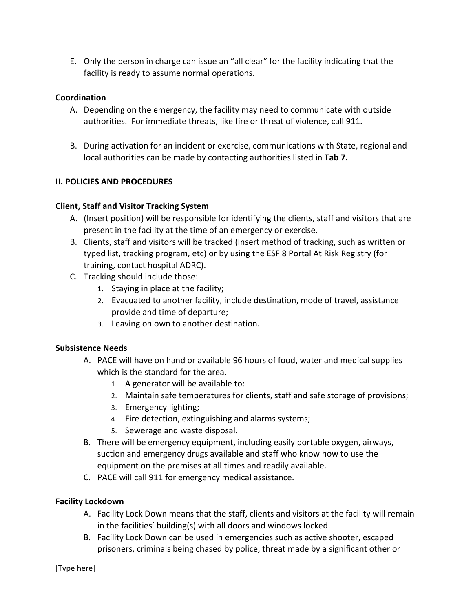E. Only the person in charge can issue an "all clear" for the facility indicating that the facility is ready to assume normal operations.

# **Coordination**

- A. Depending on the emergency, the facility may need to communicate with outside authorities. For immediate threats, like fire or threat of violence, call 911.
- B. During activation for an incident or exercise, communications with State, regional and local authorities can be made by contacting authorities listed in **Tab 7.**

# **II. POLICIES AND PROCEDURES**

# **Client, Staff and Visitor Tracking System**

- A. (Insert position) will be responsible for identifying the clients, staff and visitors that are present in the facility at the time of an emergency or exercise.
- B. Clients, staff and visitors will be tracked (Insert method of tracking, such as written or typed list, tracking program, etc) or by using the ESF 8 Portal At Risk Registry (for training, contact hospital ADRC).
- C. Tracking should include those:
	- 1. Staying in place at the facility;
	- 2. Evacuated to another facility, include destination, mode of travel, assistance provide and time of departure;
	- 3. Leaving on own to another destination.

# **Subsistence Needs**

- A. PACE will have on hand or available 96 hours of food, water and medical supplies which is the standard for the area.
	- 1. A generator will be available to:
	- 2. Maintain safe temperatures for clients, staff and safe storage of provisions;
	- 3. Emergency lighting;
	- 4. Fire detection, extinguishing and alarms systems;
	- 5. Sewerage and waste disposal.
- B. There will be emergency equipment, including easily portable oxygen, airways, suction and emergency drugs available and staff who know how to use the equipment on the premises at all times and readily available.
- C. PACE will call 911 for emergency medical assistance.

# **Facility Lockdown**

- A. Facility Lock Down means that the staff, clients and visitors at the facility will remain in the facilities' building(s) with all doors and windows locked.
- B. Facility Lock Down can be used in emergencies such as active shooter, escaped prisoners, criminals being chased by police, threat made by a significant other or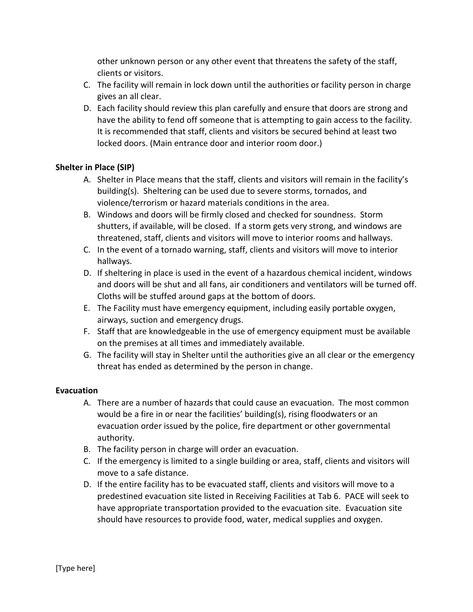other unknown person or any other event that threatens the safety of the staff, clients or visitors.

- C. The facility will remain in lock down until the authorities or facility person in charge gives an all clear.
- D. Each facility should review this plan carefully and ensure that doors are strong and have the ability to fend off someone that is attempting to gain access to the facility. It is recommended that staff, clients and visitors be secured behind at least two locked doors. (Main entrance door and interior room door.)

# **Shelter in Place (SIP)**

- A. Shelter in Place means that the staff, clients and visitors will remain in the facility's building(s). Sheltering can be used due to severe storms, tornados, and violence/terrorism or hazard materials conditions in the area.
- B. Windows and doors will be firmly closed and checked for soundness. Storm shutters, if available, will be closed. If a storm gets very strong, and windows are threatened, staff, clients and visitors will move to interior rooms and hallways.
- C. In the event of a tornado warning, staff, clients and visitors will move to interior hallways.
- D. If sheltering in place is used in the event of a hazardous chemical incident, windows and doors will be shut and all fans, air conditioners and ventilators will be turned off. Cloths will be stuffed around gaps at the bottom of doors.
- E. The Facility must have emergency equipment, including easily portable oxygen, airways, suction and emergency drugs.
- F. Staff that are knowledgeable in the use of emergency equipment must be available on the premises at all times and immediately available.
- G. The facility will stay in Shelter until the authorities give an all clear or the emergency threat has ended as determined by the person in change.

# **Evacuation**

- A. There are a number of hazards that could cause an evacuation. The most common would be a fire in or near the facilities' building(s), rising floodwaters or an evacuation order issued by the police, fire department or other governmental authority.
- B. The facility person in charge will order an evacuation.
- C. If the emergency is limited to a single building or area, staff, clients and visitors will move to a safe distance.
- D. If the entire facility has to be evacuated staff, clients and visitors will move to a predestined evacuation site listed in Receiving Facilities at Tab 6. PACE will seek to have appropriate transportation provided to the evacuation site. Evacuation site should have resources to provide food, water, medical supplies and oxygen.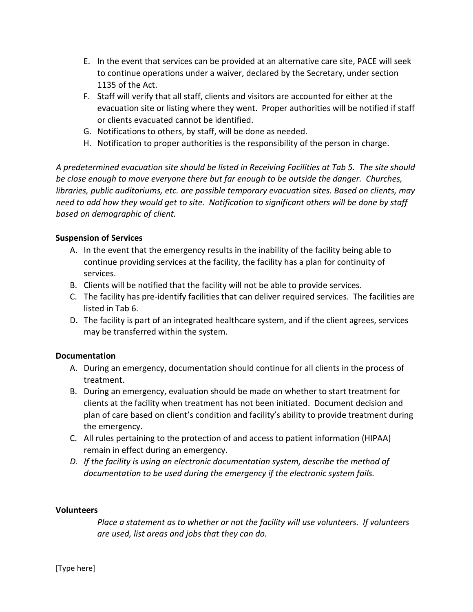- E. In the event that services can be provided at an alternative care site, PACE will seek to continue operations under a waiver, declared by the Secretary, under section 1135 of the Act.
- F. Staff will verify that all staff, clients and visitors are accounted for either at the evacuation site or listing where they went. Proper authorities will be notified if staff or clients evacuated cannot be identified.
- G. Notifications to others, by staff, will be done as needed.
- H. Notification to proper authorities is the responsibility of the person in charge.

*A predetermined evacuation site should be listed in Receiving Facilities at Tab 5. The site should be close enough to move everyone there but far enough to be outside the danger. Churches, libraries, public auditoriums, etc. are possible temporary evacuation sites. Based on clients, may need to add how they would get to site. Notification to significant others will be done by staff based on demographic of client.* 

# **Suspension of Services**

- A. In the event that the emergency results in the inability of the facility being able to continue providing services at the facility, the facility has a plan for continuity of services.
- B. Clients will be notified that the facility will not be able to provide services.
- C. The facility has pre-identify facilities that can deliver required services. The facilities are listed in Tab 6.
- D. The facility is part of an integrated healthcare system, and if the client agrees, services may be transferred within the system.

# **Documentation**

- A. During an emergency, documentation should continue for all clients in the process of treatment.
- B. During an emergency, evaluation should be made on whether to start treatment for clients at the facility when treatment has not been initiated. Document decision and plan of care based on client's condition and facility's ability to provide treatment during the emergency.
- C. All rules pertaining to the protection of and access to patient information (HIPAA) remain in effect during an emergency.
- *D. If the facility is using an electronic documentation system, describe the method of documentation to be used during the emergency if the electronic system fails.*

### **Volunteers**

*Place a statement as to whether or not the facility will use volunteers. If volunteers are used, list areas and jobs that they can do.*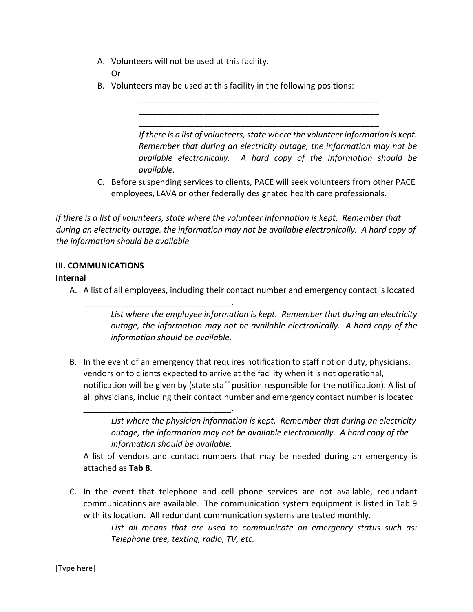A. Volunteers will not be used at this facility.

Or

B. Volunteers may be used at this facility in the following positions:

*If there is a list of volunteers, state where the volunteer information is kept. Remember that during an electricity outage, the information may not be available electronically. A hard copy of the information should be available.*

C. Before suspending services to clients, PACE will seek volunteers from other PACE employees, LAVA or other federally designated health care professionals.

\_\_\_\_\_\_\_\_\_\_\_\_\_\_\_\_\_\_\_\_\_\_\_\_\_\_\_\_\_\_\_\_\_\_\_\_\_\_\_\_\_\_\_\_\_\_\_\_\_\_\_\_ \_\_\_\_\_\_\_\_\_\_\_\_\_\_\_\_\_\_\_\_\_\_\_\_\_\_\_\_\_\_\_\_\_\_\_\_\_\_\_\_\_\_\_\_\_\_\_\_\_\_\_\_ \_\_\_\_\_\_\_\_\_\_\_\_\_\_\_\_\_\_\_\_\_\_\_\_\_\_\_\_\_\_\_\_\_\_\_\_\_\_\_\_\_\_\_\_\_\_\_\_\_\_\_\_

*If there is a list of volunteers, state where the volunteer information is kept. Remember that during an electricity outage, the information may not be available electronically. A hard copy of the information should be available*

# **III. COMMUNICATIONS**

\_\_\_\_\_\_\_\_\_\_\_\_\_\_\_\_\_\_\_\_\_\_\_\_\_\_\_\_\_\_\_\_.

\_\_\_\_\_\_\_\_\_\_\_\_\_\_\_\_\_\_\_\_\_\_\_\_\_\_\_\_\_\_\_\_.

# **Internal**

A. A list of all employees, including their contact number and emergency contact is located

*List where the employee information is kept. Remember that during an electricity outage, the information may not be available electronically. A hard copy of the information should be available.*

B. In the event of an emergency that requires notification to staff not on duty, physicians, vendors or to clients expected to arrive at the facility when it is not operational, notification will be given by (state staff position responsible for the notification). A list of all physicians, including their contact number and emergency contact number is located

A list of vendors and contact numbers that may be needed during an emergency is attached as **Tab 8**.

C. In the event that telephone and cell phone services are not available, redundant communications are available. The communication system equipment is listed in Tab 9 with its location. All redundant communication systems are tested monthly.

> *List all means that are used to communicate an emergency status such as: Telephone tree, texting, radio, TV, etc.*

*List where the physician information is kept. Remember that during an electricity outage, the information may not be available electronically. A hard copy of the information should be available.*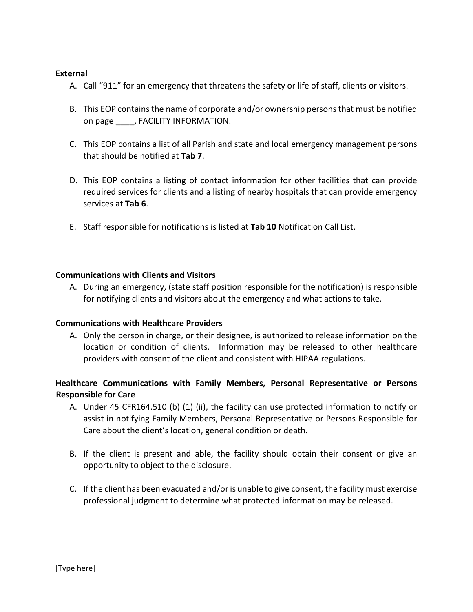### **External**

- A. Call "911" for an emergency that threatens the safety or life of staff, clients or visitors.
- B. This EOP contains the name of corporate and/or ownership persons that must be notified on page \_\_\_\_, FACILITY INFORMATION.
- C. This EOP contains a list of all Parish and state and local emergency management persons that should be notified at **Tab 7**.
- D. This EOP contains a listing of contact information for other facilities that can provide required services for clients and a listing of nearby hospitals that can provide emergency services at **Tab 6**.
- E. Staff responsible for notifications is listed at **Tab 10** Notification Call List.

### **Communications with Clients and Visitors**

A. During an emergency, (state staff position responsible for the notification) is responsible for notifying clients and visitors about the emergency and what actions to take.

### **Communications with Healthcare Providers**

A. Only the person in charge, or their designee, is authorized to release information on the location or condition of clients. Information may be released to other healthcare providers with consent of the client and consistent with HIPAA regulations.

# **Healthcare Communications with Family Members, Personal Representative or Persons Responsible for Care**

- A. Under 45 CFR164.510 (b) (1) (ii), the facility can use protected information to notify or assist in notifying Family Members, Personal Representative or Persons Responsible for Care about the client's location, general condition or death.
- B. If the client is present and able, the facility should obtain their consent or give an opportunity to object to the disclosure.
- C. If the client has been evacuated and/or is unable to give consent, the facility must exercise professional judgment to determine what protected information may be released.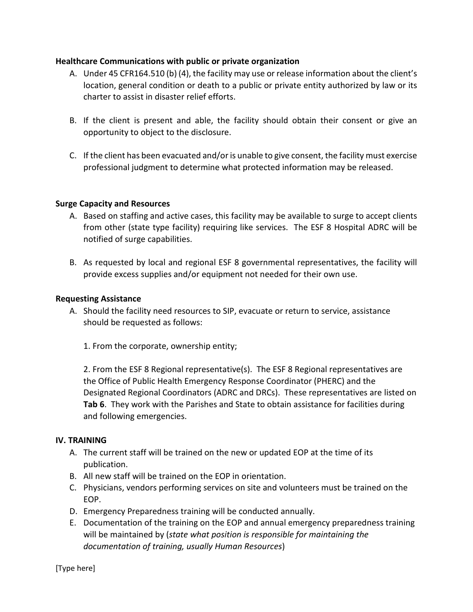### **Healthcare Communications with public or private organization**

- A. Under 45 CFR164.510 (b) (4), the facility may use or release information about the client's location, general condition or death to a public or private entity authorized by law or its charter to assist in disaster relief efforts.
- B. If the client is present and able, the facility should obtain their consent or give an opportunity to object to the disclosure.
- C. If the client has been evacuated and/or is unable to give consent, the facility must exercise professional judgment to determine what protected information may be released.

## **Surge Capacity and Resources**

- A. Based on staffing and active cases, this facility may be available to surge to accept clients from other (state type facility) requiring like services. The ESF 8 Hospital ADRC will be notified of surge capabilities.
- B. As requested by local and regional ESF 8 governmental representatives, the facility will provide excess supplies and/or equipment not needed for their own use.

### **Requesting Assistance**

- A. Should the facility need resources to SIP, evacuate or return to service, assistance should be requested as follows:
	- 1. From the corporate, ownership entity;

2. From the ESF 8 Regional representative(s). The ESF 8 Regional representatives are the Office of Public Health Emergency Response Coordinator (PHERC) and the Designated Regional Coordinators (ADRC and DRCs). These representatives are listed on **Tab 6**. They work with the Parishes and State to obtain assistance for facilities during and following emergencies.

### **IV. TRAINING**

- A. The current staff will be trained on the new or updated EOP at the time of its publication.
- B. All new staff will be trained on the EOP in orientation.
- C. Physicians, vendors performing services on site and volunteers must be trained on the EOP.
- D. Emergency Preparedness training will be conducted annually.
- E. Documentation of the training on the EOP and annual emergency preparedness training will be maintained by (*state what position is responsible for maintaining the documentation of training, usually Human Resources*)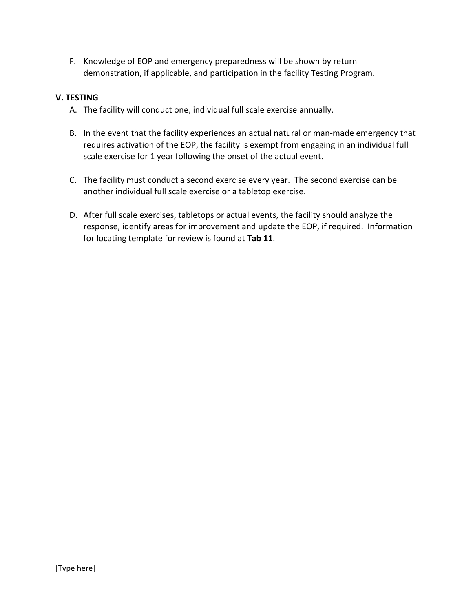F. Knowledge of EOP and emergency preparedness will be shown by return demonstration, if applicable, and participation in the facility Testing Program.

# **V. TESTING**

- A. The facility will conduct one, individual full scale exercise annually.
- B. In the event that the facility experiences an actual natural or man-made emergency that requires activation of the EOP, the facility is exempt from engaging in an individual full scale exercise for 1 year following the onset of the actual event.
- C. The facility must conduct a second exercise every year. The second exercise can be another individual full scale exercise or a tabletop exercise.
- D. After full scale exercises, tabletops or actual events, the facility should analyze the response, identify areas for improvement and update the EOP, if required. Information for locating template for review is found at **Tab 11**.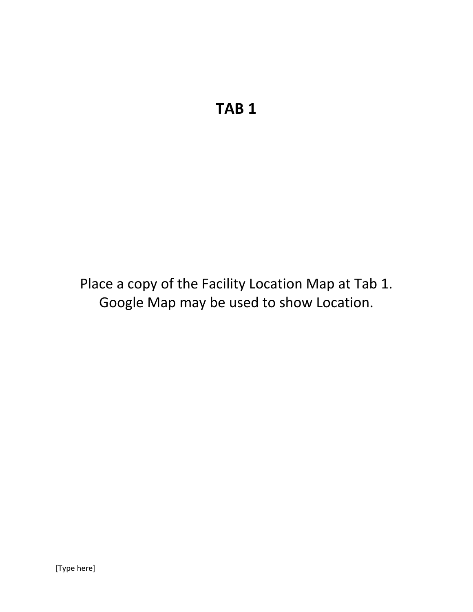Place a copy of the Facility Location Map at Tab 1. Google Map may be used to show Location.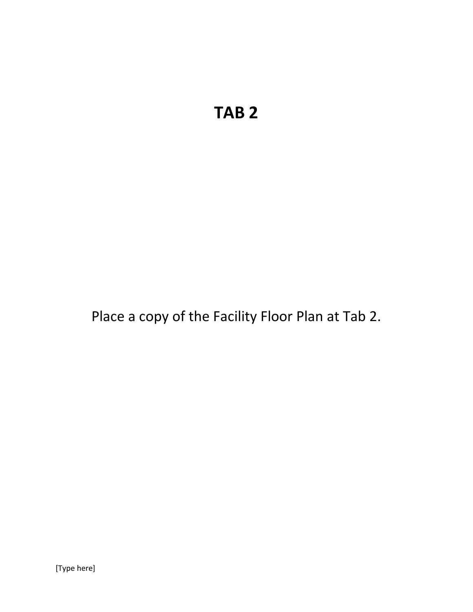Place a copy of the Facility Floor Plan at Tab 2.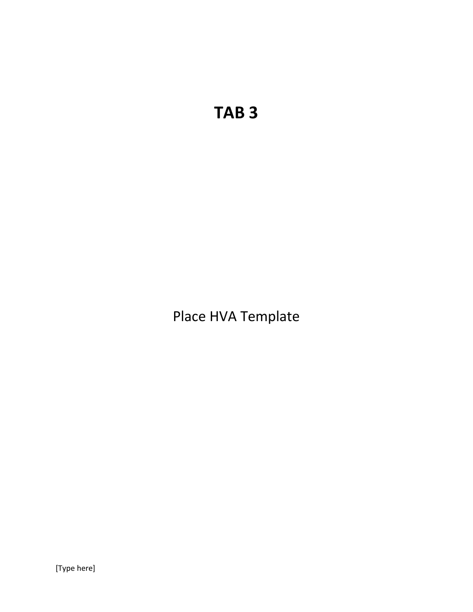Place HVA Template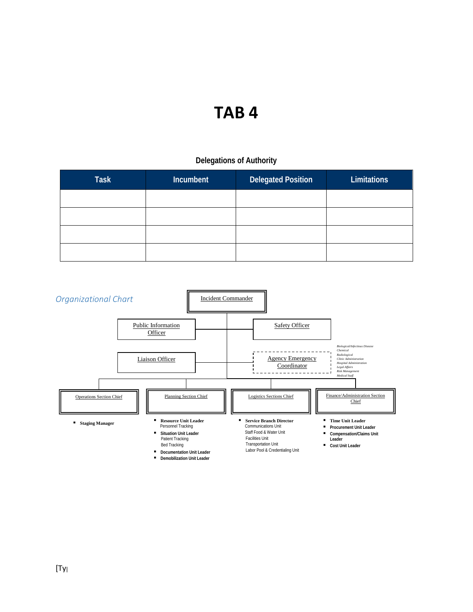# **Delegations of Authority**

| <b>Task</b> | <b>Incumbent</b> | <b>Delegated Position</b> | Limitations |
|-------------|------------------|---------------------------|-------------|
|             |                  |                           |             |
|             |                  |                           |             |
|             |                  |                           |             |
|             |                  |                           |             |

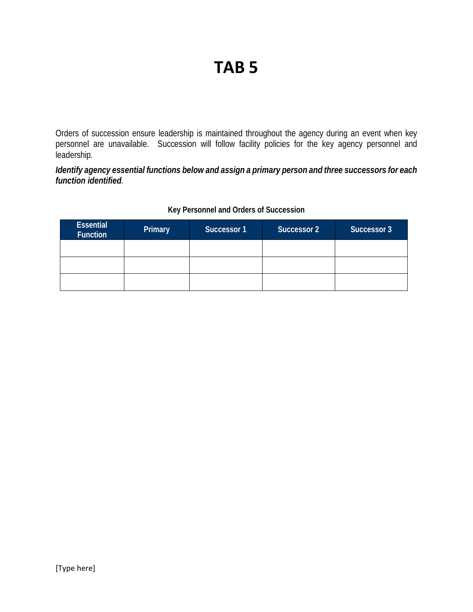Orders of succession ensure leadership is maintained throughout the agency during an event when key personnel are unavailable. Succession will follow facility policies for the key agency personnel and leadership*.*

*Identify agency essential functions below and assign a primary person and three successors for each function identified.*

| <b>Essential</b><br><b>Function</b> | Primary | Successor 1 | <b>Successor 2</b> | Successor 3 |
|-------------------------------------|---------|-------------|--------------------|-------------|
|                                     |         |             |                    |             |
|                                     |         |             |                    |             |
|                                     |         |             |                    |             |

## **Key Personnel and Orders of Succession**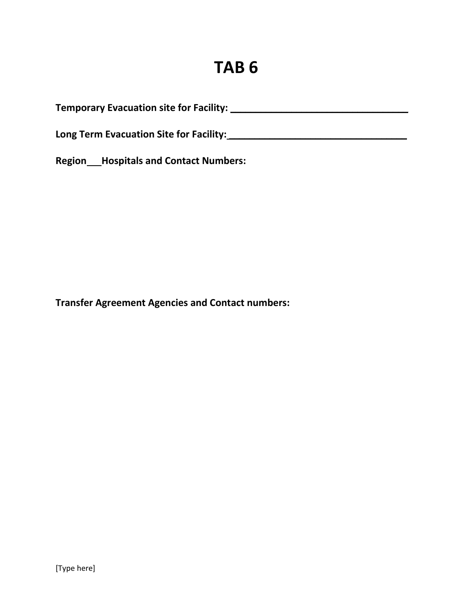**Temporary Evacuation site for Facility: \_\_\_\_\_\_\_\_\_\_\_\_\_\_\_\_\_\_\_\_\_\_\_\_\_\_\_\_\_\_\_\_\_\_\_** 

**Long Term Evacuation Site for Facility: \_\_\_\_\_\_\_\_\_\_\_\_\_\_\_\_\_\_\_\_\_\_\_\_\_\_\_\_\_\_\_\_\_\_\_** 

**Region Hospitals and Contact Numbers:**

**Transfer Agreement Agencies and Contact numbers:**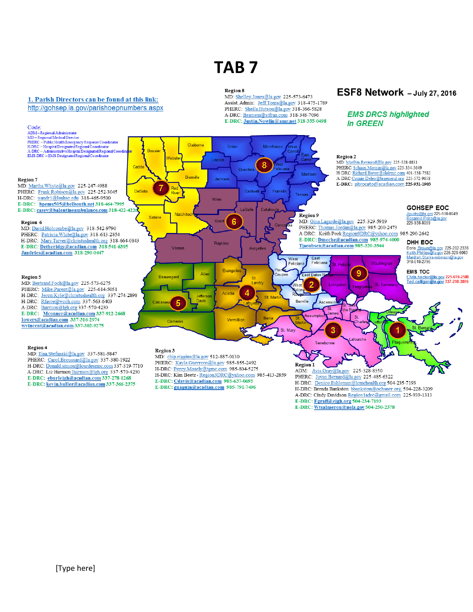#### 1. Parish Directors can be found at this link: http://gohsep.la.gov/parishoepnumbers.aspx

#### Code: COOL:<br>
ADM – Regional Administrator<br>
ADM – Regional Medical Director<br>
PHERC – Public Health Emergency Response Coordinator<br>
H-DRC – Hospital Designated Regional Coordinator<br>
A-DRC – Administrative Hospital Designated Regio Claiborne Union Mor Bossie Region 2 Lincoln MD: Marilyn.Reynaud@la.gov 225-328-8831 8 Cadd PHERC: Schaun.Morgan@la.gov 225-354-5649 Ouachi H-DRC: Richard.Boyer@ololrmc.com 401-338-7582<br>A-DRC Connie.Deleo@brgeneral.org 225-572-9658 Madisor Bienville Jackso **Region 7** E-DRC: pbrocato@acadian.com 225-931-1903 MD: Martha.Whyte@la.gov 225-247-4988 Red DeSoto PHERC: Frank Robison@la.gov 225-252-3045 Caldwel Franklin Tensas H-DRC: wandr1@lsuhsc.edu 318-465-9500 Winn E-DRC: bpems505@bellsouth.net 318-464-7995 **GOHSEP EOC** LaSalle E-DRC: casey@balentineambulance.com 318-422-4226 Jouidry@la.gov 225-938-8049<br>Rosanne.Prats@la.gov<br>225-938-8059 Natchi Region 9 Sabine 6 Gran MD: Gina.Lagarde@la.gov 225-329-5919 Region 6 PHERC: Thomas.Jordan@la.gov 985-200-2473 MD: David.Holcombe@la.gov 318-542-9790 A-DRC: Keith Peek Region9DRC@yahoo.com 985-290-2642 PHERC: Patricia.White@la.gov 318-613-2854 E-DRC: Dmeche@acadian.com 985-974-4000 H-DRC: Mary.Tarver@christushealth.org 318-664-0843 DHH EOC Rapides Tjacobsen@acadian.com 985-320-3944 E-DRC: Detheridge@acadian.com 318-541-6395 Doris Brown@la.gov 225-202-2336<br>Keith.Phillips@la.gov 225-329-6063<br>Mardrah.Starks-robinson@la.gov<br>318-518-2796 Vernor Avovelle: Jandries@acadian.com 318-290-0447 West East Feliciana Washingto Felicia St He Evangeli  $\overline{9}$ **EMS TOC** Allen Coupee East Baton Chris.hector@la.gov 225-610-2588<br>Ted.calligan@la.gov 337-298-3806 Region 5 Beaureoard <sub>St</sub> MD: Bertrand.Foch@la.gov 225-573-6275 Landry  $\overline{2}$ Šť Vest 'anoi PHERC: Mike.Parent@la.gov 225-614-5051 4 Acodis H-DRC: Jeron.Kyle@christushealth.org 337-274-2898 St Ma H-DRC: Rfavre@wcch.com 337-563-6403 **Javis** Iberville Asci 5 A-DRC: lharmon@lgh.org 337-570-4230 E-DRC: Mconner@acadian.com 337-912-2668 Jam Assumptio lowers@acadian.com 337-316-2974 Vermillion Can wvincent@acadian.com 337-302-9275 空 St. Mary Terrebonne Region 4 Region 3 MD: Tina.Stefanski@la.gov 337-581-5847 MD: chip.riggins@la.gov 512-887-0130 PHERC: Carol.Broussard@la.gov 337-380-1922 PHERC: Kayla.Guerrero@la.gov 985-855-2492 Region 1 H-DRC: Donald.simon@lourdesrmc.com 337-319-7710 H-DRC: Percy.Mosely@tgmc.com 985-804-5275 ADM: Avis.Gray@la.gov 225-328-8350 A-DRC: Liz Harmon lharmon@lgh.org 337-570-4230 H-DRC: Kim Beetz - Region3DRC@yahoo.com 985-413-2859 PHERC: Jovan.Bernard@la.gov 225-485-6322 E-DRC: eburleigh@acadian.com 337-278-1268 E-DRC: Cdavis@acadian.com 985-637-0695 H-DRC: Denice.Eshleman@lcmchealth.org 504-235-7193 E-DRC: kevin.buller@acadian.com 337-366-2375 E-DRC: gnaquin@acadian.com 985-791-7496 H-DRC: Brenda Bankston bbankston@ochsner.org; 504-228-3209 A-DRC: Cindy Davidson Region1adrc@gmail.com 225-939-1313

Region 8

MD: Shelley.Jones@la.gov 225-573-6473 Assist. Admin: Jeff.Toms@la.gov 318-475-1789 PHERC: Sheila.Hutson@la.gov 318-366-5828 A-DRC: Bramem@stfran.com 318-348-7096 E-DRC: Justin.Nowlin@amr.net 318-355-0498

# ESF8 Network - July 27, 2016

### **EMS DRCS highlighted** in GREEN

E-DRC: Fgraff@eigh.org 504-234-7193 E-DRC: Wtsalmeron@nola.gov 504-250-2378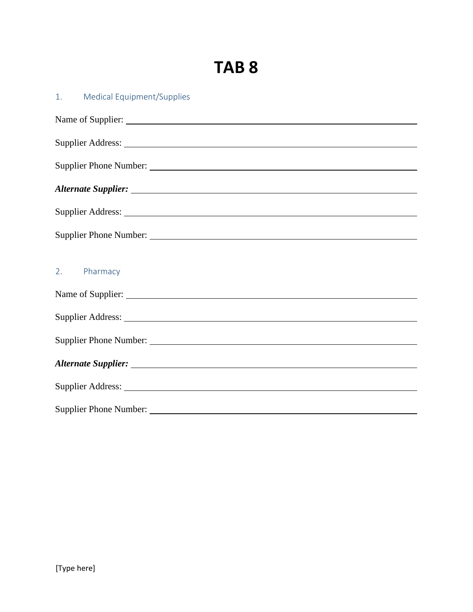| <b>Medical Equipment/Supplies</b><br>1.                                                                                                                                                                                        |
|--------------------------------------------------------------------------------------------------------------------------------------------------------------------------------------------------------------------------------|
|                                                                                                                                                                                                                                |
|                                                                                                                                                                                                                                |
| Supplier Phone Number:                                                                                                                                                                                                         |
|                                                                                                                                                                                                                                |
|                                                                                                                                                                                                                                |
| Supplier Phone Number: 2008 and 2008 and 2008 and 2008 and 2008 and 2008 and 2008 and 2008 and 2008 and 2008 and 2008 and 2008 and 2008 and 2008 and 2008 and 2008 and 2008 and 2008 and 2008 and 2008 and 2008 and 2008 and 2 |
|                                                                                                                                                                                                                                |
| 2. Pharmacy                                                                                                                                                                                                                    |
|                                                                                                                                                                                                                                |
|                                                                                                                                                                                                                                |
| Supplier Phone Number:                                                                                                                                                                                                         |
|                                                                                                                                                                                                                                |
|                                                                                                                                                                                                                                |
|                                                                                                                                                                                                                                |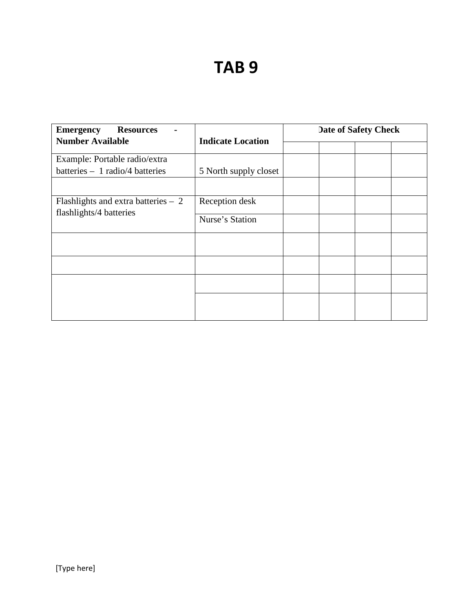| <b>Emergency</b><br><b>Resources</b><br>$\blacksquare$<br><b>Number Available</b> |                          | <b>Date of Safety Check</b> |  |  |  |
|-----------------------------------------------------------------------------------|--------------------------|-----------------------------|--|--|--|
|                                                                                   | <b>Indicate Location</b> |                             |  |  |  |
| Example: Portable radio/extra                                                     |                          |                             |  |  |  |
| batteries $-1$ radio/4 batteries                                                  | 5 North supply closet    |                             |  |  |  |
|                                                                                   |                          |                             |  |  |  |
| Flashlights and extra batteries $-2$<br>flashlights/4 batteries                   | Reception desk           |                             |  |  |  |
|                                                                                   | Nurse's Station          |                             |  |  |  |
|                                                                                   |                          |                             |  |  |  |
|                                                                                   |                          |                             |  |  |  |
|                                                                                   |                          |                             |  |  |  |
|                                                                                   |                          |                             |  |  |  |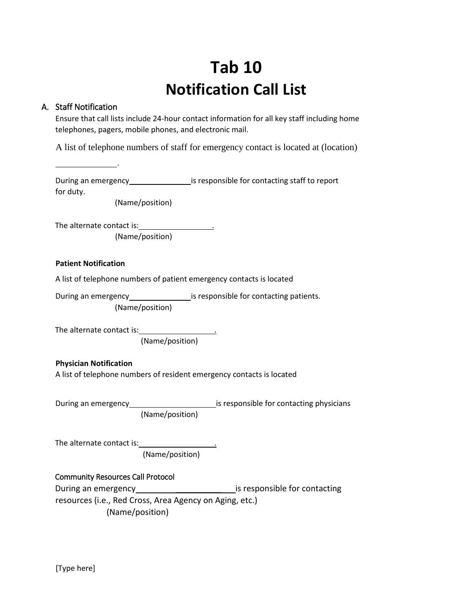# **Tab 10 Notification Call List**

## A. Staff Notification

.

Ensure that call lists include 24-hour contact information for all key staff including home telephones, pagers, mobile phones, and electronic mail.

A list of telephone numbers of staff for emergency contact is located at (location)

During an emergency is responsible for contacting staff to report for duty.

(Name/position)

The alternate contact is: . (Name/position)

### **Patient Notification**

A list of telephone numbers of patient emergency contacts is located

During an emergency\_\_\_\_\_\_\_\_\_\_\_\_\_\_\_\_\_\_\_\_is responsible for contacting patients. (Name/position)

The alternate contact is: \_\_\_\_\_\_\_\_\_

(Name/position)

### **Physician Notification**

A list of telephone numbers of resident emergency contacts is located

During an emergency is responsible for contacting physicians (Name/position)

The alternate contact is: (Name/position)

### Community Resources Call Protocol

During an emergency \_\_\_\_\_\_\_\_\_\_ is responsible for contacting resources (i.e., Red Cross, Area Agency on Aging, etc.) (Name/position)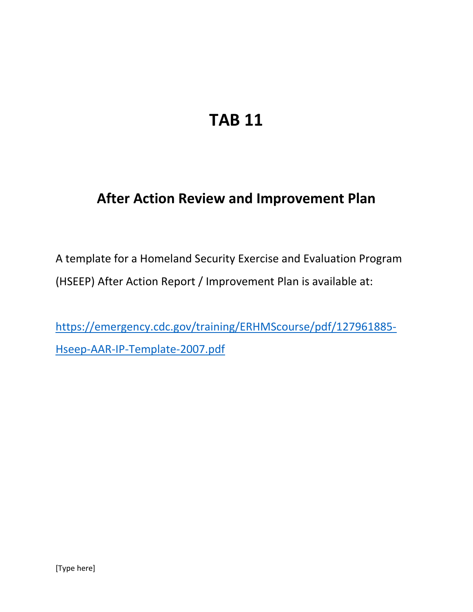# **After Action Review and Improvement Plan**

A template for a Homeland Security Exercise and Evaluation Program (HSEEP) After Action Report / Improvement Plan is available at:

[https://emergency.cdc.gov/training/ERHMScourse/pdf/127961885-](https://emergency.cdc.gov/training/ERHMScourse/pdf/127961885-Hseep-AAR-IP-Template-2007.pdf) [Hseep-AAR-IP-Template-2007.pdf](https://emergency.cdc.gov/training/ERHMScourse/pdf/127961885-Hseep-AAR-IP-Template-2007.pdf)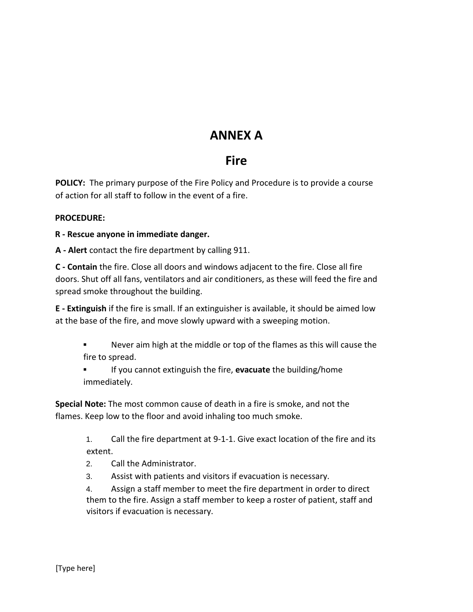# **ANNEX A**

# **Fire**

**POLICY:** The primary purpose of the Fire Policy and Procedure is to provide a course of action for all staff to follow in the event of a fire.

# **PROCEDURE:**

# **R - Rescue anyone in immediate danger.**

**A - Alert** contact the fire department by calling 911.

**C - Contain** the fire. Close all doors and windows adjacent to the fire. Close all fire doors. Shut off all fans, ventilators and air conditioners, as these will feed the fire and spread smoke throughout the building.

**E - Extinguish** if the fire is small. If an extinguisher is available, it should be aimed low at the base of the fire, and move slowly upward with a sweeping motion.

- Never aim high at the middle or top of the flames as this will cause the fire to spread.
- If you cannot extinguish the fire, **evacuate** the building/home immediately.

**Special Note:** The most common cause of death in a fire is smoke, and not the flames. Keep low to the floor and avoid inhaling too much smoke.

> 1. Call the fire department at 9-1-1. Give exact location of the fire and its extent.

- 2. Call the Administrator.
- 3. Assist with patients and visitors if evacuation is necessary.

4. Assign a staff member to meet the fire department in order to direct them to the fire. Assign a staff member to keep a roster of patient, staff and visitors if evacuation is necessary.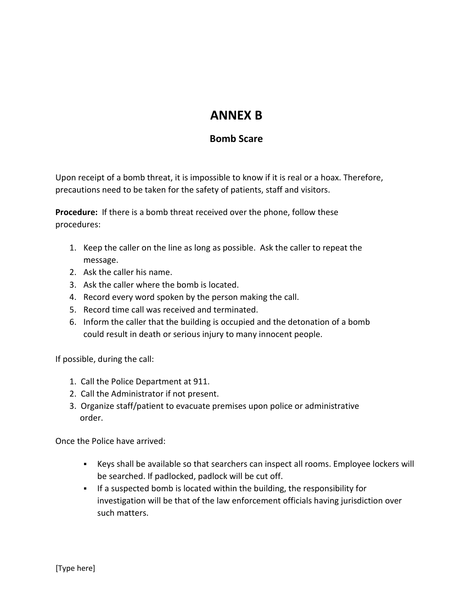# **ANNEX B**

# **Bomb Scare**

Upon receipt of a bomb threat, it is impossible to know if it is real or a hoax. Therefore, precautions need to be taken for the safety of patients, staff and visitors.

**Procedure:** If there is a bomb threat received over the phone, follow these procedures:

- 1. Keep the caller on the line as long as possible. Ask the caller to repeat the message.
- 2. Ask the caller his name.
- 3. Ask the caller where the bomb is located.
- 4. Record every word spoken by the person making the call.
- 5. Record time call was received and terminated.
- 6. Inform the caller that the building is occupied and the detonation of a bomb could result in death or serious injury to many innocent people.

If possible, during the call:

- 1. Call the Police Department at 911.
- 2. Call the Administrator if not present.
- 3. Organize staff/patient to evacuate premises upon police or administrative order.

Once the Police have arrived:

- Keys shall be available so that searchers can inspect all rooms. Employee lockers will be searched. If padlocked, padlock will be cut off.
- If a suspected bomb is located within the building, the responsibility for investigation will be that of the law enforcement officials having jurisdiction over such matters.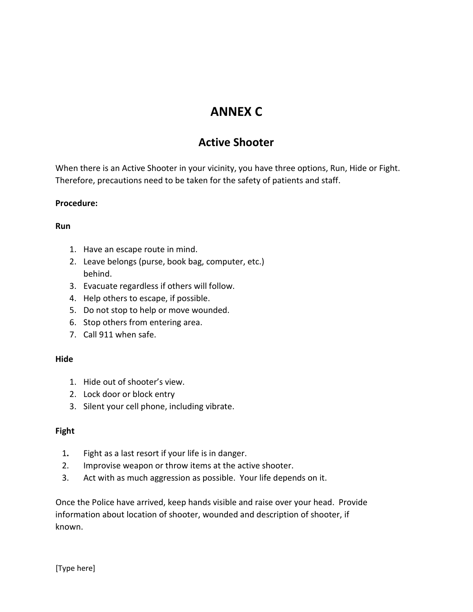# **ANNEX C**

# **Active Shooter**

When there is an Active Shooter in your vicinity, you have three options, Run, Hide or Fight. Therefore, precautions need to be taken for the safety of patients and staff.

## **Procedure:**

## **Run**

- 1. Have an escape route in mind.
- 2. Leave belongs (purse, book bag, computer, etc.) behind.
- 3. Evacuate regardless if others will follow.
- 4. Help others to escape, if possible.
- 5. Do not stop to help or move wounded.
- 6. Stop others from entering area.
- 7. Call 911 when safe.

# **Hide**

- 1. Hide out of shooter's view.
- 2. Lock door or block entry
- 3. Silent your cell phone, including vibrate.

# **Fight**

- 1**.** Fight as a last resort if your life is in danger.
- 2. Improvise weapon or throw items at the active shooter.
- 3. Act with as much aggression as possible. Your life depends on it.

Once the Police have arrived, keep hands visible and raise over your head. Provide information about location of shooter, wounded and description of shooter, if known.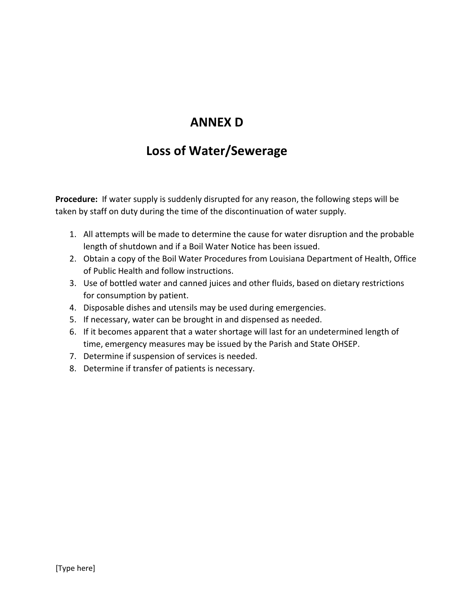# **ANNEX D**

# **Loss of Water/Sewerage**

**Procedure:** If water supply is suddenly disrupted for any reason, the following steps will be taken by staff on duty during the time of the discontinuation of water supply.

- 1. All attempts will be made to determine the cause for water disruption and the probable length of shutdown and if a Boil Water Notice has been issued.
- 2. Obtain a copy of the Boil Water Procedures from Louisiana Department of Health, Office of Public Health and follow instructions.
- 3. Use of bottled water and canned juices and other fluids, based on dietary restrictions for consumption by patient.
- 4. Disposable dishes and utensils may be used during emergencies.
- 5. If necessary, water can be brought in and dispensed as needed.
- 6. If it becomes apparent that a water shortage will last for an undetermined length of time, emergency measures may be issued by the Parish and State OHSEP.
- 7. Determine if suspension of services is needed.
- 8. Determine if transfer of patients is necessary.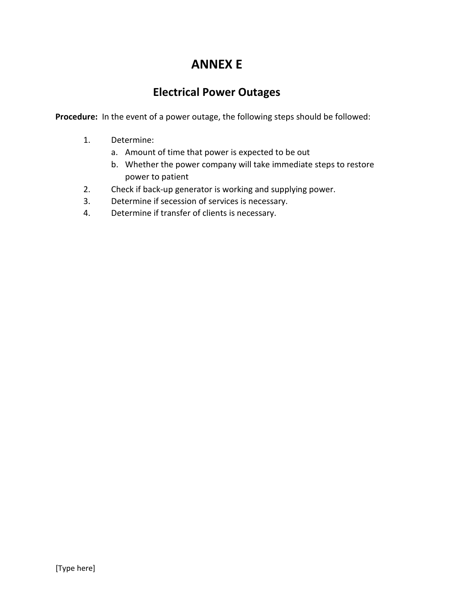# **ANNEX E**

# **Electrical Power Outages**

**Procedure:** In the event of a power outage, the following steps should be followed:

- 1. Determine:
	- a. Amount of time that power is expected to be out
	- b. Whether the power company will take immediate steps to restore power to patient
- 2. Check if back-up generator is working and supplying power.
- 3. Determine if secession of services is necessary.
- 4. Determine if transfer of clients is necessary.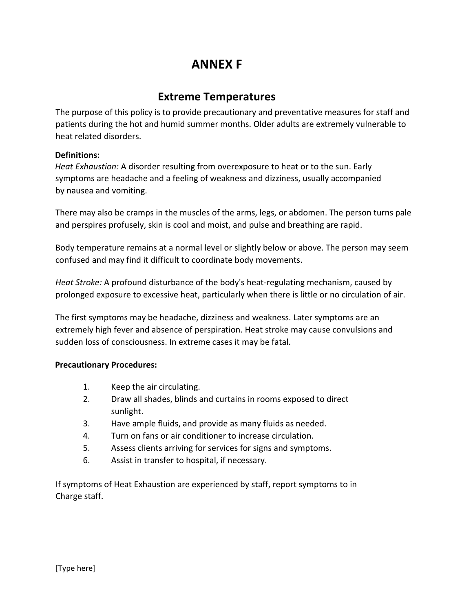# **ANNEX F**

# **Extreme Temperatures**

The purpose of this policy is to provide precautionary and preventative measures for staff and patients during the hot and humid summer months. Older adults are extremely vulnerable to heat related disorders.

## **Definitions:**

*Heat Exhaustion:* A disorder resulting from overexposure to heat or to the sun. Early symptoms are headache and a feeling of weakness and dizziness, usually accompanied by nausea and vomiting.

There may also be cramps in the muscles of the arms, legs, or abdomen. The person turns pale and perspires profusely, skin is cool and moist, and pulse and breathing are rapid.

Body temperature remains at a normal level or slightly below or above. The person may seem confused and may find it difficult to coordinate body movements.

*Heat Stroke:* A profound disturbance of the body's heat-regulating mechanism, caused by prolonged exposure to excessive heat, particularly when there is little or no circulation of air.

The first symptoms may be headache, dizziness and weakness. Later symptoms are an extremely high fever and absence of perspiration. Heat stroke may cause convulsions and sudden loss of consciousness. In extreme cases it may be fatal.

### **Precautionary Procedures:**

- 1. Keep the air circulating.
- 2. Draw all shades, blinds and curtains in rooms exposed to direct sunlight.
- 3. Have ample fluids, and provide as many fluids as needed.
- 4. Turn on fans or air conditioner to increase circulation.
- 5. Assess clients arriving for services for signs and symptoms.
- 6. Assist in transfer to hospital, if necessary.

If symptoms of Heat Exhaustion are experienced by staff, report symptoms to in Charge staff.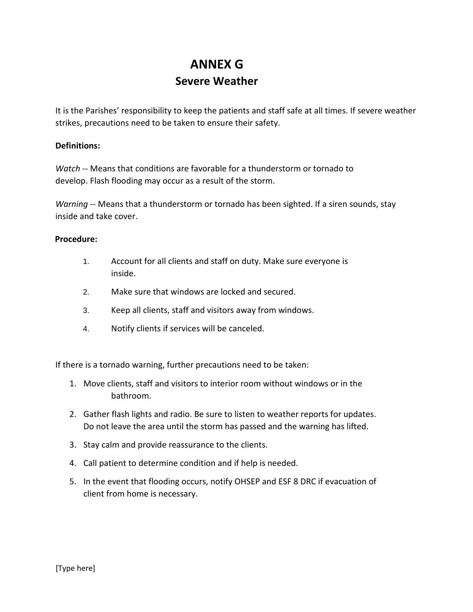# **ANNEX G Severe Weather**

It is the Parishes' responsibility to keep the patients and staff safe at all times. If severe weather strikes, precautions need to be taken to ensure their safety.

### **Definitions:**

*Watch* -- Means that conditions are favorable for a thunderstorm or tornado to develop. Flash flooding may occur as a result of the storm.

*Warning* -- Means that a thunderstorm or tornado has been sighted. If a siren sounds, stay inside and take cover.

### **Procedure:**

- 1. Account for all clients and staff on duty. Make sure everyone is inside.
- 2. Make sure that windows are locked and secured.
- 3. Keep all clients, staff and visitors away from windows.
- 4. Notify clients if services will be canceled.

If there is a tornado warning, further precautions need to be taken:

- 1. Move clients, staff and visitors to interior room without windows or in the bathroom.
- 2. Gather flash lights and radio. Be sure to listen to weather reports for updates. Do not leave the area until the storm has passed and the warning has lifted.
- 3. Stay calm and provide reassurance to the clients.
- 4. Call patient to determine condition and if help is needed.
- 5. In the event that flooding occurs, notify OHSEP and ESF 8 DRC if evacuation of client from home is necessary.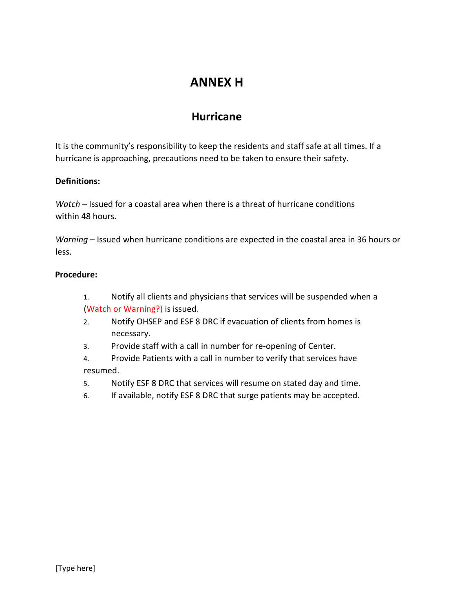# **ANNEX H**

# **Hurricane**

It is the community's responsibility to keep the residents and staff safe at all times. If a hurricane is approaching, precautions need to be taken to ensure their safety.

## **Definitions:**

*Watch* – Issued for a coastal area when there is a threat of hurricane conditions within 48 hours.

*Warning* – Issued when hurricane conditions are expected in the coastal area in 36 hours or less.

## **Procedure:**

- 1. Notify all clients and physicians that services will be suspended when a (Watch or Warning?) is issued.
- 2. Notify OHSEP and ESF 8 DRC if evacuation of clients from homes is necessary.
- 3. Provide staff with a call in number for re-opening of Center.
- 4. Provide Patients with a call in number to verify that services have resumed.
- 5. Notify ESF 8 DRC that services will resume on stated day and time.
- 6. If available, notify ESF 8 DRC that surge patients may be accepted.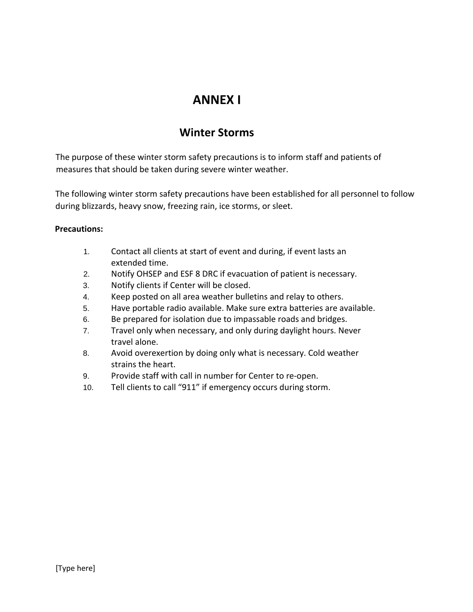# **ANNEX I**

# **Winter Storms**

The purpose of these winter storm safety precautions is to inform staff and patients of measures that should be taken during severe winter weather.

The following winter storm safety precautions have been established for all personnel to follow during blizzards, heavy snow, freezing rain, ice storms, or sleet.

## **Precautions:**

- 1. Contact all clients at start of event and during, if event lasts an extended time.
- 2. Notify OHSEP and ESF 8 DRC if evacuation of patient is necessary.
- 3. Notify clients if Center will be closed.
- 4. Keep posted on all area weather bulletins and relay to others.
- 5. Have portable radio available. Make sure extra batteries are available.
- 6. Be prepared for isolation due to impassable roads and bridges.
- 7. Travel only when necessary, and only during daylight hours. Never travel alone.
- 8. Avoid overexertion by doing only what is necessary. Cold weather strains the heart.
- 9. Provide staff with call in number for Center to re-open.
- 10. Tell clients to call "911" if emergency occurs during storm.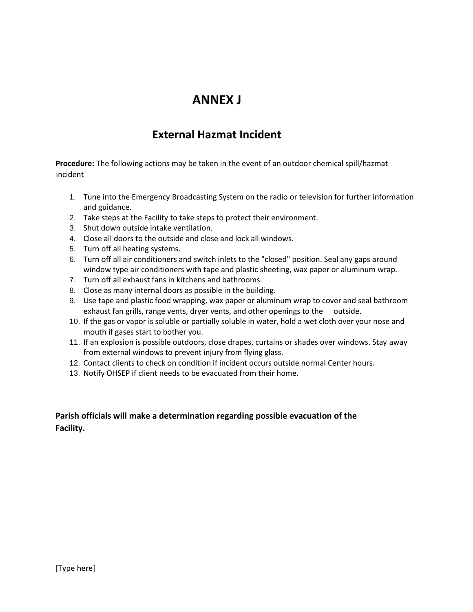# **ANNEX J**

# **External Hazmat Incident**

**Procedure:** The following actions may be taken in the event of an outdoor chemical spill/hazmat incident

- 1. Tune into the Emergency Broadcasting System on the radio or television for further information and guidance.
- 2. Take steps at the Facility to take steps to protect their environment.
- 3. Shut down outside intake ventilation.
- 4. Close all doors to the outside and close and lock all windows.
- 5. Turn off all heating systems.
- 6. Turn off all air conditioners and switch inlets to the "closed" position. Seal any gaps around window type air conditioners with tape and plastic sheeting, wax paper or aluminum wrap.
- 7. Turn off all exhaust fans in kitchens and bathrooms.
- 8. Close as many internal doors as possible in the building.
- 9. Use tape and plastic food wrapping, wax paper or aluminum wrap to cover and seal bathroom exhaust fan grills, range vents, dryer vents, and other openings to the outside.
- 10. If the gas or vapor is soluble or partially soluble in water, hold a wet cloth over your nose and mouth if gases start to bother you.
- 11. If an explosion is possible outdoors, close drapes, curtains or shades over windows. Stay away from external windows to prevent injury from flying glass.
- 12. Contact clients to check on condition if incident occurs outside normal Center hours.
- 13. Notify OHSEP if client needs to be evacuated from their home.

# **Parish officials will make a determination regarding possible evacuation of the Facility.**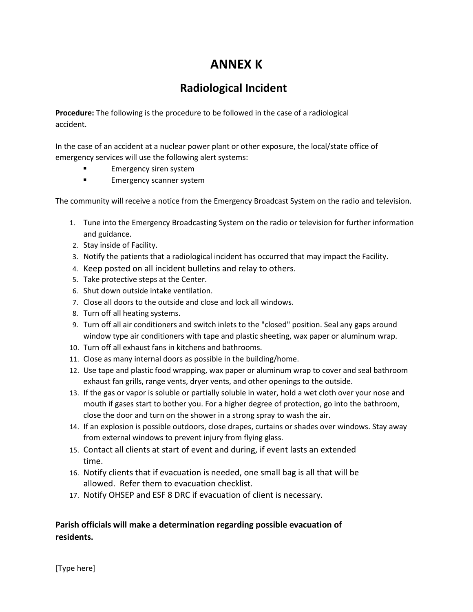# **ANNEX K**

# **Radiological Incident**

**Procedure:** The following is the procedure to be followed in the case of a radiological accident.

In the case of an accident at a nuclear power plant or other exposure, the local/state office of emergency services will use the following alert systems:

- **Emergency siren system**
- **Emergency scanner system**

The community will receive a notice from the Emergency Broadcast System on the radio and television.

- 1. Tune into the Emergency Broadcasting System on the radio or television for further information and guidance.
- 2. Stay inside of Facility.
- 3. Notify the patients that a radiological incident has occurred that may impact the Facility.
- 4. Keep posted on all incident bulletins and relay to others.
- 5. Take protective steps at the Center.
- 6. Shut down outside intake ventilation.
- 7. Close all doors to the outside and close and lock all windows.
- 8. Turn off all heating systems.
- 9. Turn off all air conditioners and switch inlets to the "closed" position. Seal any gaps around window type air conditioners with tape and plastic sheeting, wax paper or aluminum wrap.
- 10. Turn off all exhaust fans in kitchens and bathrooms.
- 11. Close as many internal doors as possible in the building/home.
- 12. Use tape and plastic food wrapping, wax paper or aluminum wrap to cover and seal bathroom exhaust fan grills, range vents, dryer vents, and other openings to the outside.
- 13. If the gas or vapor is soluble or partially soluble in water, hold a wet cloth over your nose and mouth if gases start to bother you. For a higher degree of protection, go into the bathroom, close the door and turn on the shower in a strong spray to wash the air.
- 14. If an explosion is possible outdoors, close drapes, curtains or shades over windows. Stay away from external windows to prevent injury from flying glass.
- 15. Contact all clients at start of event and during, if event lasts an extended time.
- 16. Notify clients that if evacuation is needed, one small bag is all that will be allowed. Refer them to evacuation checklist.
- 17. Notify OHSEP and ESF 8 DRC if evacuation of client is necessary.

# **Parish officials will make a determination regarding possible evacuation of residents.**